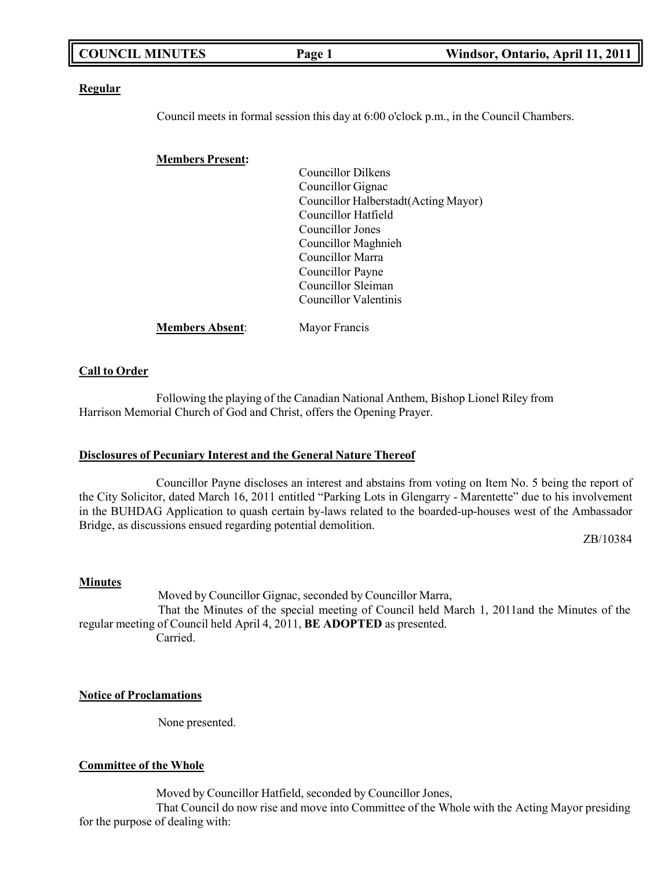| <b>COUNCIL MINUTES</b> | Page 1 | Windsor, Ontario, April 11, 2011 |
|------------------------|--------|----------------------------------|
|                        |        |                                  |

#### **Regular**

Council meets in formal session this day at 6:00 o'clock p.m., in the Council Chambers.

#### **Members Present:**

| <b>Councillor Dilkens</b>             |
|---------------------------------------|
| Councillor Gignac                     |
| Councillor Halberstadt (Acting Mayor) |
| Councillor Hatfield                   |
| Councillor Jones                      |
| Councillor Maghnieh                   |
| Councillor Marra                      |
| Councillor Payne                      |
| Councillor Sleiman                    |
| Councillor Valentinis                 |
|                                       |

**Members Absent**: Mayor Francis

#### **Call to Order**

Following the playing of the Canadian National Anthem, Bishop Lionel Riley from Harrison Memorial Church of God and Christ, offers the Opening Prayer.

#### **Disclosures of Pecuniary Interest and the General Nature Thereof**

Councillor Payne discloses an interest and abstains from voting on Item No. 5 being the report of the City Solicitor, dated March 16, 2011 entitled "Parking Lots in Glengarry - Marentette" due to his involvement in the BUHDAG Application to quash certain by-laws related to the boarded-up-houses west of the Ambassador Bridge, as discussions ensued regarding potential demolition.

ZB/10384

#### **Minutes**

Moved by Councillor Gignac, seconded by Councillor Marra, That the Minutes of the special meeting of Council held March 1, 2011and the Minutes of the regular meeting of Council held April 4, 2011, **BE ADOPTED** as presented. Carried.

#### **Notice of Proclamations**

None presented.

#### **Committee of the Whole**

Moved by Councillor Hatfield, seconded by Councillor Jones,

That Council do now rise and move into Committee of the Whole with the Acting Mayor presiding for the purpose of dealing with: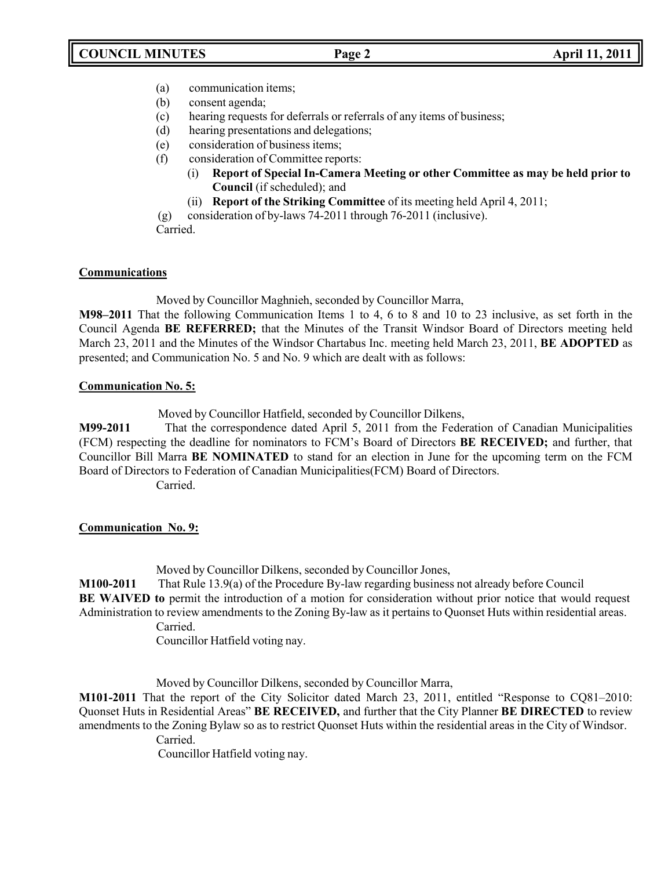- (a) communication items;
- (b) consent agenda;
- (c) hearing requests for deferrals or referrals of any items of business;
- (d) hearing presentations and delegations;
- (e) consideration of business items;
- (f) consideration of Committee reports:
	- (i) **Report of Special In-Camera Meeting or other Committee as may be held prior to Council** (if scheduled); and
	- (ii) **Report of the Striking Committee** of its meeting held April 4, 2011;
- (g) consideration of by-laws 74-2011 through 76-2011 (inclusive).

Carried.

# **Communications**

Moved by Councillor Maghnieh, seconded by Councillor Marra,

**M98–2011** That the following Communication Items 1 to 4, 6 to 8 and 10 to 23 inclusive, as set forth in the Council Agenda **BE REFERRED;** that the Minutes of the Transit Windsor Board of Directors meeting held March 23, 2011 and the Minutes of the Windsor Chartabus Inc. meeting held March 23, 2011, **BE ADOPTED** as presented; and Communication No. 5 and No. 9 which are dealt with as follows:

# **Communication No. 5:**

Moved by Councillor Hatfield, seconded by Councillor Dilkens,

**M99-2011** That the correspondence dated April 5, 2011 from the Federation of Canadian Municipalities (FCM) respecting the deadline for nominators to FCM's Board of Directors **BE RECEIVED;** and further, that Councillor Bill Marra **BE NOMINATED** to stand for an election in June for the upcoming term on the FCM Board of Directors to Federation of Canadian Municipalities(FCM) Board of Directors.

Carried.

# **Communication No. 9:**

Moved by Councillor Dilkens, seconded by Councillor Jones,

**M100-2011** That Rule 13.9(a) of the Procedure By-law regarding business not already before Council **BE WAIVED to** permit the introduction of a motion for consideration without prior notice that would request Administration to review amendments to the Zoning By-law as it pertains to Quonset Huts within residential areas.

Carried.

Councillor Hatfield voting nay.

Moved by Councillor Dilkens, seconded by Councillor Marra,

**M101-2011** That the report of the City Solicitor dated March 23, 2011, entitled "Response to CQ81–2010: Quonset Huts in Residential Areas" **BE RECEIVED,** and further that the City Planner **BE DIRECTED** to review amendments to the Zoning Bylaw so as to restrict Quonset Huts within the residential areas in the City of Windsor. Carried.

Councillor Hatfield voting nay.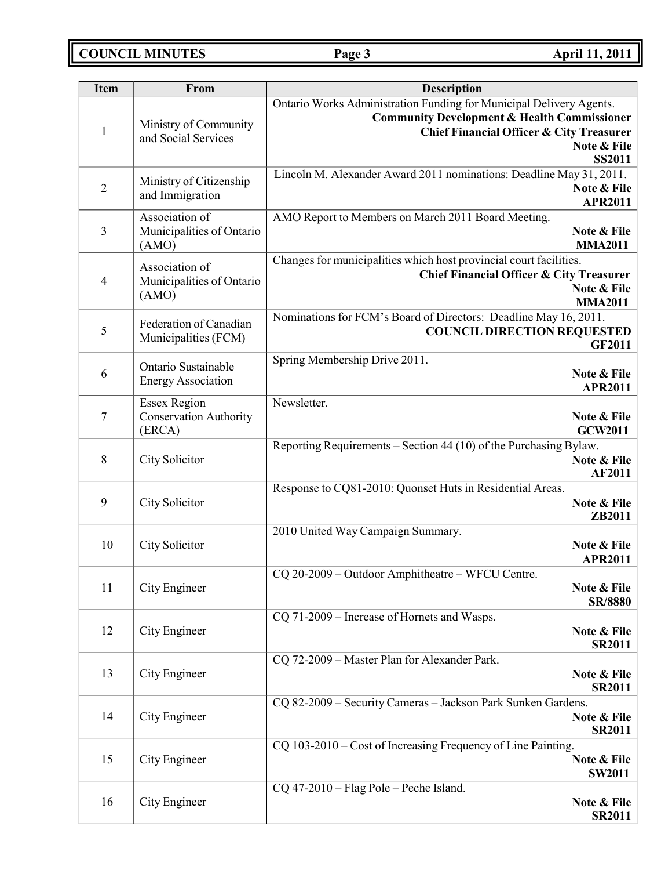**COUNCIL MINUTES Page 3 April 11, 2011**

| <b>Item</b>    | From                                                           | <b>Description</b>                                                                                                                                                                                                   |  |
|----------------|----------------------------------------------------------------|----------------------------------------------------------------------------------------------------------------------------------------------------------------------------------------------------------------------|--|
| $\mathbf{1}$   | Ministry of Community<br>and Social Services                   | Ontario Works Administration Funding for Municipal Delivery Agents.<br><b>Community Development &amp; Health Commissioner</b><br><b>Chief Financial Officer &amp; City Treasurer</b><br>Note & File<br><b>SS2011</b> |  |
| $\overline{2}$ | Ministry of Citizenship<br>and Immigration                     | Lincoln M. Alexander Award 2011 nominations: Deadline May 31, 2011.<br>Note & File<br><b>APR2011</b>                                                                                                                 |  |
| 3              | Association of<br>Municipalities of Ontario<br>(AMO)           | AMO Report to Members on March 2011 Board Meeting.<br>Note & File<br><b>MMA2011</b>                                                                                                                                  |  |
| $\overline{4}$ | Association of<br>Municipalities of Ontario<br>(AMO)           | Changes for municipalities which host provincial court facilities.<br><b>Chief Financial Officer &amp; City Treasurer</b><br>Note & File<br><b>MMA2011</b>                                                           |  |
| 5              | Federation of Canadian<br>Municipalities (FCM)                 | Nominations for FCM's Board of Directors: Deadline May 16, 2011.<br><b>COUNCIL DIRECTION REQUESTED</b><br><b>GF2011</b>                                                                                              |  |
| 6              | Ontario Sustainable<br><b>Energy Association</b>               | Spring Membership Drive 2011.<br>Note & File<br><b>APR2011</b>                                                                                                                                                       |  |
| 7              | <b>Essex Region</b><br><b>Conservation Authority</b><br>(ERCA) | Newsletter.<br>Note & File<br><b>GCW2011</b>                                                                                                                                                                         |  |
| $\,8\,$        | City Solicitor                                                 | Reporting Requirements – Section 44 (10) of the Purchasing Bylaw.<br>Note & File<br><b>AF2011</b>                                                                                                                    |  |
| 9              | City Solicitor                                                 | Response to CQ81-2010: Quonset Huts in Residential Areas.<br>Note & File<br>ZB2011                                                                                                                                   |  |
| 10             | City Solicitor                                                 | 2010 United Way Campaign Summary.<br>Note & File<br><b>APR2011</b>                                                                                                                                                   |  |
| 11             | City Engineer                                                  | CQ 20-2009 - Outdoor Amphitheatre - WFCU Centre.<br>Note & File<br><b>SR/8880</b>                                                                                                                                    |  |
| 12             | City Engineer                                                  | CQ 71-2009 – Increase of Hornets and Wasps.<br>Note & File<br><b>SR2011</b>                                                                                                                                          |  |
| 13             | City Engineer                                                  | CQ 72-2009 - Master Plan for Alexander Park.<br>Note & File<br><b>SR2011</b>                                                                                                                                         |  |
| 14             | City Engineer                                                  | CQ 82-2009 - Security Cameras - Jackson Park Sunken Gardens.<br>Note & File<br><b>SR2011</b>                                                                                                                         |  |
| 15             | City Engineer                                                  | CQ 103-2010 – Cost of Increasing Frequency of Line Painting.<br>Note & File<br><b>SW2011</b>                                                                                                                         |  |
| 16             | City Engineer                                                  | $CQ$ 47-2010 – Flag Pole – Peche Island.<br>Note & File<br><b>SR2011</b>                                                                                                                                             |  |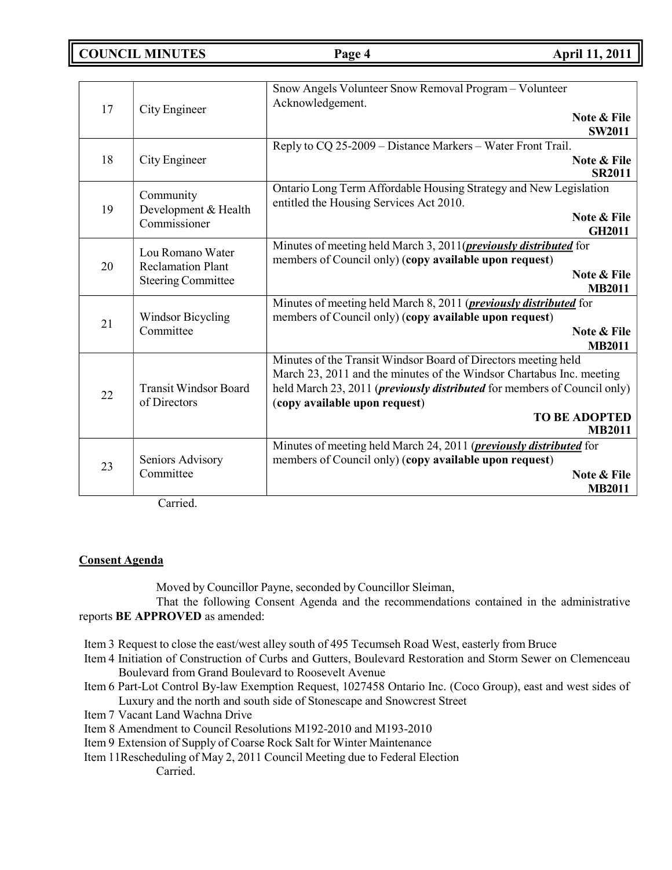**COUNCIL MINUTES Page 4 April 11, 2011**

| 17 | City Engineer                                                             | Snow Angels Volunteer Snow Removal Program - Volunteer<br>Acknowledgement.<br>Note & File<br><b>SW2011</b>                                                                                                                                                                                           |
|----|---------------------------------------------------------------------------|------------------------------------------------------------------------------------------------------------------------------------------------------------------------------------------------------------------------------------------------------------------------------------------------------|
| 18 | City Engineer                                                             | Reply to CQ 25-2009 - Distance Markers - Water Front Trail.<br>Note & File<br><b>SR2011</b>                                                                                                                                                                                                          |
| 19 | Community<br>Development & Health<br>Commissioner                         | Ontario Long Term Affordable Housing Strategy and New Legislation<br>entitled the Housing Services Act 2010.<br>Note & File<br><b>GH2011</b>                                                                                                                                                         |
| 20 | Lou Romano Water<br><b>Reclamation Plant</b><br><b>Steering Committee</b> | Minutes of meeting held March 3, 2011( <i>previously distributed</i> for<br>members of Council only) (copy available upon request)<br>Note & File<br><b>MB2011</b>                                                                                                                                   |
| 21 | Windsor Bicycling<br>Committee                                            | Minutes of meeting held March 8, 2011 ( <i>previously distributed</i> for<br>members of Council only) (copy available upon request)<br>Note & File<br><b>MB2011</b>                                                                                                                                  |
| 22 | <b>Transit Windsor Board</b><br>of Directors                              | Minutes of the Transit Windsor Board of Directors meeting held<br>March 23, 2011 and the minutes of the Windsor Chartabus Inc. meeting<br>held March 23, 2011 ( <i>previously distributed</i> for members of Council only)<br>(copy available upon request)<br><b>TO BE ADOPTED</b><br><b>MB2011</b> |
| 23 | Seniors Advisory<br>Committee                                             | Minutes of meeting held March 24, 2011 ( <i>previously distributed</i> for<br>members of Council only) (copy available upon request)<br>Note & File<br><b>MB2011</b>                                                                                                                                 |

Carried.

# **Consent Agenda**

Moved by Councillor Payne, seconded by Councillor Sleiman,

That the following Consent Agenda and the recommendations contained in the administrative reports **BE APPROVED** as amended:

Item 3 Request to close the east/west alley south of 495 Tecumseh Road West, easterly from Bruce

- Item 4 Initiation of Construction of Curbs and Gutters, Boulevard Restoration and Storm Sewer on Clemenceau Boulevard from Grand Boulevard to Roosevelt Avenue
- Item 6 Part-Lot Control By-law Exemption Request, 1027458 Ontario Inc. (Coco Group), east and west sides of Luxury and the north and south side of Stonescape and Snowcrest Street
- Item 7 Vacant Land Wachna Drive
- Item 8 Amendment to Council Resolutions M192-2010 and M193-2010
- Item 9 Extension of Supply of Coarse Rock Salt for Winter Maintenance
- Item 11Rescheduling of May 2, 2011 Council Meeting due to Federal Election Carried.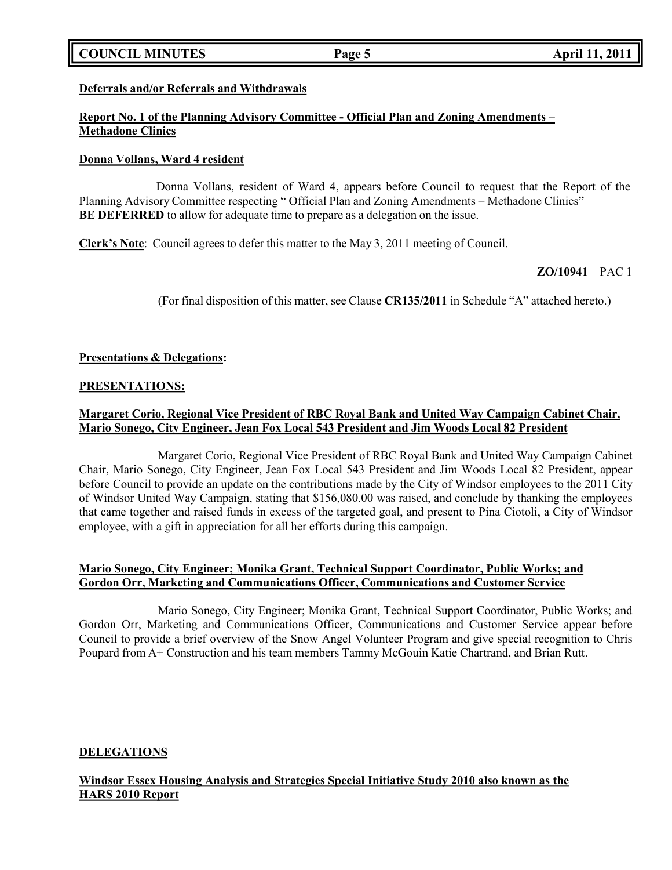# **COUNCIL MINUTES Page 5 April 11, 2011**

# **Deferrals and/or Referrals and Withdrawals**

# **Report No. 1 of the Planning Advisory Committee - Official Plan and Zoning Amendments – Methadone Clinics**

### **Donna Vollans, Ward 4 resident**

Donna Vollans, resident of Ward 4, appears before Council to request that the Report of the Planning Advisory Committee respecting " Official Plan and Zoning Amendments – Methadone Clinics" **BE DEFERRED** to allow for adequate time to prepare as a delegation on the issue.

**Clerk's Note**: Council agrees to defer this matter to the May 3, 2011 meeting of Council.

# **ZO/10941** PAC 1

(For final disposition of this matter, see Clause **CR135/2011** in Schedule "A" attached hereto.)

### **Presentations & Delegations:**

### **PRESENTATIONS:**

# **Margaret Corio, Regional Vice President of RBC Royal Bank and United Way Campaign Cabinet Chair, Mario Sonego, City Engineer, Jean Fox Local 543 President and Jim Woods Local 82 President**

Margaret Corio, Regional Vice President of RBC Royal Bank and United Way Campaign Cabinet Chair, Mario Sonego, City Engineer, Jean Fox Local 543 President and Jim Woods Local 82 President, appear before Council to provide an update on the contributions made by the City of Windsor employees to the 2011 City of Windsor United Way Campaign, stating that \$156,080.00 was raised, and conclude by thanking the employees that came together and raised funds in excess of the targeted goal, and present to Pina Ciotoli, a City of Windsor employee, with a gift in appreciation for all her efforts during this campaign.

# **Mario Sonego, City Engineer; Monika Grant, Technical Support Coordinator, Public Works; and Gordon Orr, Marketing and Communications Officer, Communications and Customer Service**

Mario Sonego, City Engineer; Monika Grant, Technical Support Coordinator, Public Works; and Gordon Orr, Marketing and Communications Officer, Communications and Customer Service appear before Council to provide a brief overview of the Snow Angel Volunteer Program and give special recognition to Chris Poupard from A+ Construction and his team members Tammy McGouin Katie Chartrand, and Brian Rutt.

# **DELEGATIONS**

# **Windsor Essex Housing Analysis and Strategies Special Initiative Study 2010 also known as the HARS 2010 Report**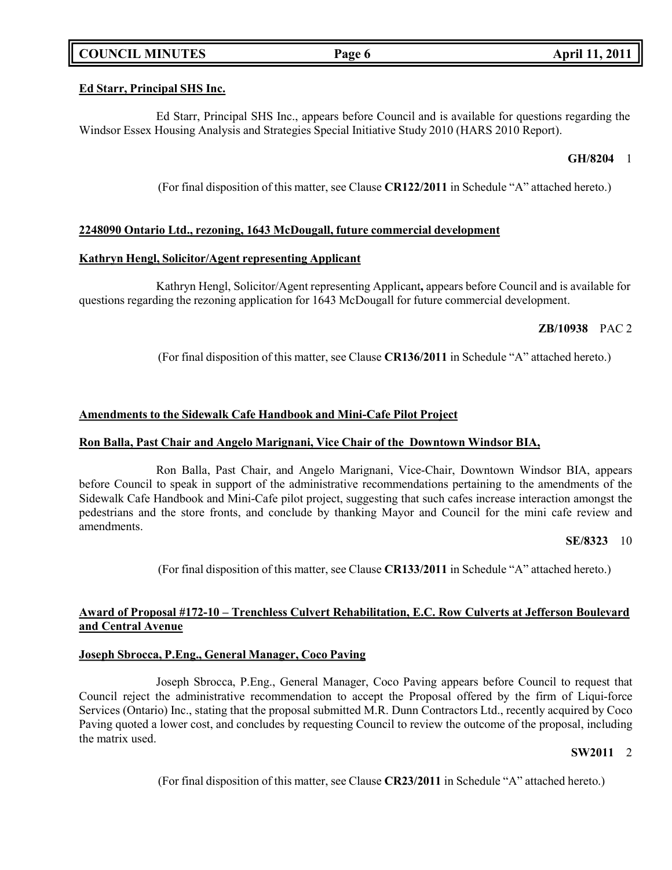# **COUNCIL MINUTES Page 6 April 11, 2011**

### **Ed Starr, Principal SHS Inc.**

Ed Starr, Principal SHS Inc., appears before Council and is available for questions regarding the Windsor Essex Housing Analysis and Strategies Special Initiative Study 2010 (HARS 2010 Report).

### **GH/8204** 1

(For final disposition of this matter, see Clause **CR122/2011** in Schedule "A" attached hereto.)

# **2248090 Ontario Ltd., rezoning, 1643 McDougall, future commercial development**

#### **Kathryn Hengl, Solicitor/Agent representing Applicant**

Kathryn Hengl, Solicitor/Agent representing Applicant**,** appears before Council and is available for questions regarding the rezoning application for 1643 McDougall for future commercial development.

# **ZB/10938** PAC 2

(For final disposition of this matter, see Clause **CR136/2011** in Schedule "A" attached hereto.)

### **Amendments to the Sidewalk Cafe Handbook and Mini-Cafe Pilot Project**

#### **Ron Balla, Past Chair and Angelo Marignani, Vice Chair of the Downtown Windsor BIA,**

Ron Balla, Past Chair, and Angelo Marignani, Vice-Chair, Downtown Windsor BIA, appears before Council to speak in support of the administrative recommendations pertaining to the amendments of the Sidewalk Cafe Handbook and Mini-Cafe pilot project, suggesting that such cafes increase interaction amongst the pedestrians and the store fronts, and conclude by thanking Mayor and Council for the mini cafe review and amendments.

#### **SE/8323** 10

(For final disposition of this matter, see Clause **CR133/2011** in Schedule "A" attached hereto.)

# **Award of Proposal #172-10 – Trenchless Culvert Rehabilitation, E.C. Row Culverts at Jefferson Boulevard and Central Avenue**

#### **Joseph Sbrocca, P.Eng., General Manager, Coco Paving**

Joseph Sbrocca, P.Eng., General Manager, Coco Paving appears before Council to request that Council reject the administrative recommendation to accept the Proposal offered by the firm of Liqui-force Services (Ontario) Inc., stating that the proposal submitted M.R. Dunn Contractors Ltd., recently acquired by Coco Paving quoted a lower cost, and concludes by requesting Council to review the outcome of the proposal, including the matrix used.

# **SW2011** 2

(For final disposition of this matter, see Clause **CR23/2011** in Schedule "A" attached hereto.)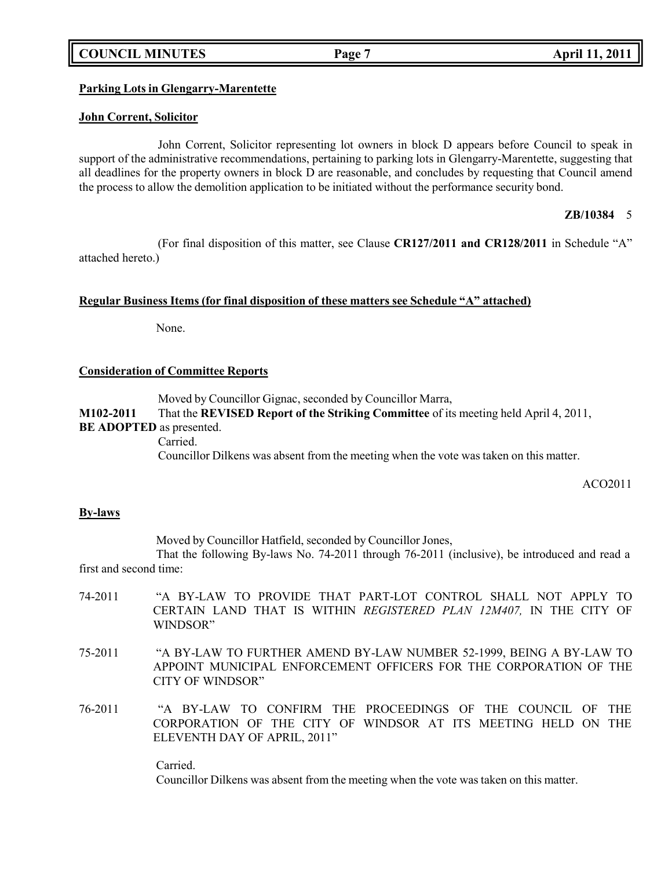# **COUNCIL MINUTES Page 7 April 11, 2011**

# **Parking Lots in Glengarry-Marentette**

#### **John Corrent, Solicitor**

John Corrent, Solicitor representing lot owners in block D appears before Council to speak in support of the administrative recommendations, pertaining to parking lots in Glengarry-Marentette, suggesting that all deadlines for the property owners in block D are reasonable, and concludes by requesting that Council amend the process to allow the demolition application to be initiated without the performance security bond.

### **ZB/10384** 5

(For final disposition of this matter, see Clause **CR127/2011 and CR128/2011** in Schedule "A" attached hereto.)

#### **Regular Business Items (for final disposition of these matters see Schedule "A" attached)**

None.

### **Consideration of Committee Reports**

Moved by Councillor Gignac, seconded by Councillor Marra, **M102-2011** That the **REVISED Report of the Striking Committee** of its meeting held April 4, 2011, **BE ADOPTED** as presented. Carried. Councillor Dilkens was absent from the meeting when the vote was taken on this matter.

ACO2011

# **By-laws**

Moved by Councillor Hatfield, seconded by Councillor Jones,

That the following By-laws No. 74-2011 through 76-2011 (inclusive), be introduced and read a first and second time:

- 74-2011 "A BY-LAW TO PROVIDE THAT PART-LOT CONTROL SHALL NOT APPLY TO CERTAIN LAND THAT IS WITHIN *REGISTERED PLAN 12M407,* IN THE CITY OF WINDSOR"
- 75-2011 "A BY-LAW TO FURTHER AMEND BY-LAW NUMBER 52-1999, BEING A BY-LAW TO APPOINT MUNICIPAL ENFORCEMENT OFFICERS FOR THE CORPORATION OF THE CITY OF WINDSOR"
- 76-2011 "A BY-LAW TO CONFIRM THE PROCEEDINGS OF THE COUNCIL OF THE CORPORATION OF THE CITY OF WINDSOR AT ITS MEETING HELD ON THE ELEVENTH DAY OF APRIL, 2011"

Carried. Councillor Dilkens was absent from the meeting when the vote was taken on this matter.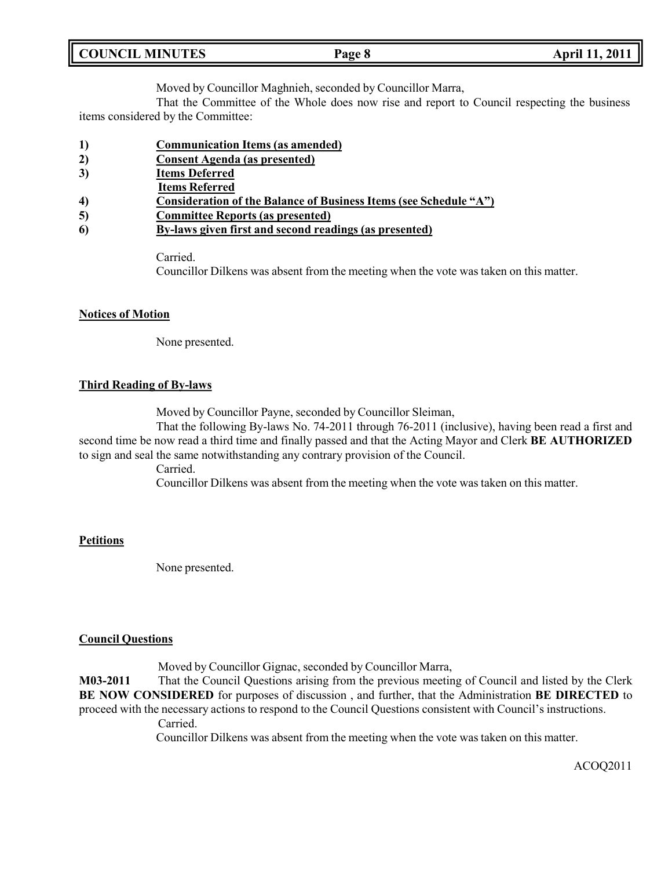| <b>COUNCIL MINUTES</b> | Page 8 | April 11, 2011 |
|------------------------|--------|----------------|
|                        |        |                |

Moved by Councillor Maghnieh, seconded by Councillor Marra,

That the Committee of the Whole does now rise and report to Council respecting the business items considered by the Committee:

- **1) Communication Items (as amended)**
- **2) Consent Agenda (as presented)**
- **3) Items Deferred**
- **Items Referred**
- **4) Consideration of the Balance of Business Items (see Schedule "A")**
- **5) Committee Reports (as presented)**
- **6) By-laws given first and second readings (as presented)**

Carried.

Councillor Dilkens was absent from the meeting when the vote was taken on this matter.

# **Notices of Motion**

None presented.

# **Third Reading of By-laws**

Moved by Councillor Payne, seconded by Councillor Sleiman,

That the following By-laws No. 74-2011 through 76-2011 (inclusive), having been read a first and second time be now read a third time and finally passed and that the Acting Mayor and Clerk **BE AUTHORIZED** to sign and seal the same notwithstanding any contrary provision of the Council.

Carried.

Councillor Dilkens was absent from the meeting when the vote was taken on this matter.

# **Petitions**

None presented.

# **Council Questions**

Moved by Councillor Gignac, seconded by Councillor Marra,

**M03-2011** That the Council Questions arising from the previous meeting of Council and listed by the Clerk **BE NOW CONSIDERED** for purposes of discussion , and further, that the Administration **BE DIRECTED** to proceed with the necessary actions to respond to the Council Questions consistent with Council's instructions.

Carried.

Councillor Dilkens was absent from the meeting when the vote was taken on this matter.

ACOQ2011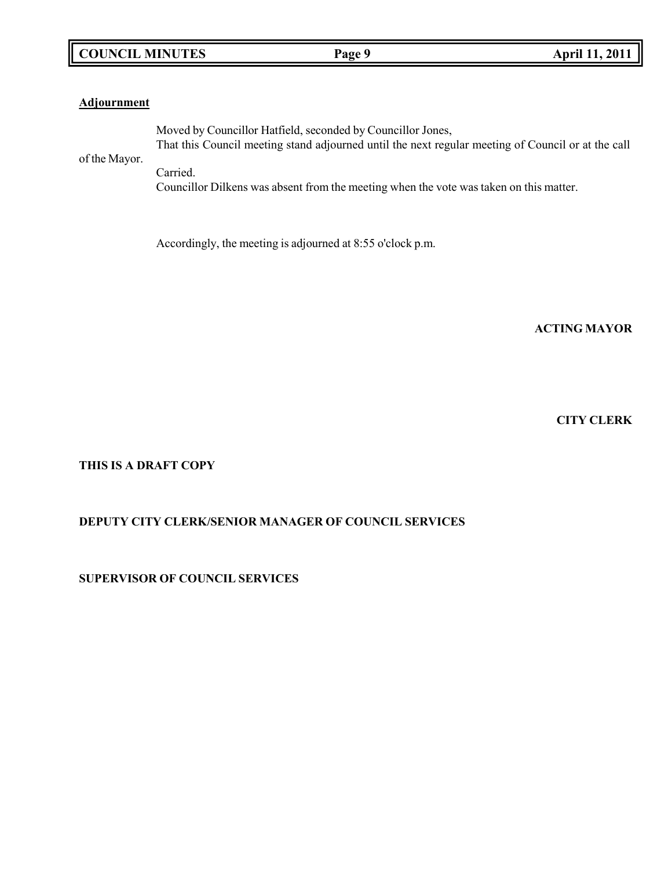# **COUNCIL MINUTES Page 9 April 11, 2011**

# **Adjournment**

Moved by Councillor Hatfield, seconded by Councillor Jones, That this Council meeting stand adjourned until the next regular meeting of Council or at the call

of the Mayor.

Carried. Councillor Dilkens was absent from the meeting when the vote was taken on this matter.

Accordingly, the meeting is adjourned at 8:55 o'clock p.m.

**ACTING MAYOR**

**CITY CLERK**

**THIS IS A DRAFT COPY**

# **DEPUTY CITY CLERK/SENIOR MANAGER OF COUNCIL SERVICES**

**SUPERVISOR OF COUNCIL SERVICES**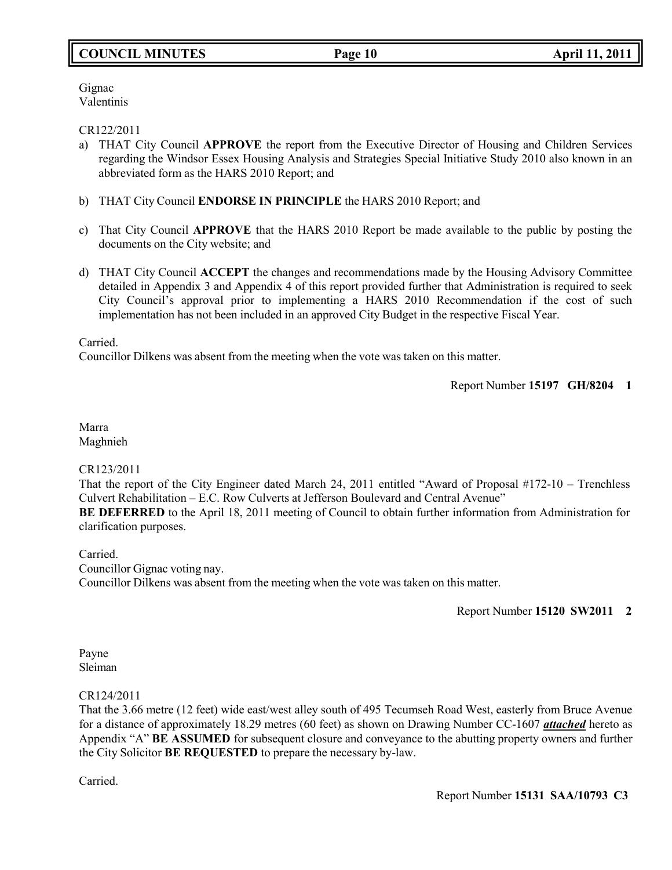# **COUNCIL MINUTES Page 10 April 11, 2011**

Gignac Valentinis

# CR122/2011

- a) THAT City Council **APPROVE** the report from the Executive Director of Housing and Children Services regarding the Windsor Essex Housing Analysis and Strategies Special Initiative Study 2010 also known in an abbreviated form as the HARS 2010 Report; and
- b) THAT City Council **ENDORSE IN PRINCIPLE** the HARS 2010 Report; and
- c) That City Council **APPROVE** that the HARS 2010 Report be made available to the public by posting the documents on the City website; and
- d) THAT City Council **ACCEPT** the changes and recommendations made by the Housing Advisory Committee detailed in Appendix 3 and Appendix 4 of this report provided further that Administration is required to seek City Council's approval prior to implementing a HARS 2010 Recommendation if the cost of such implementation has not been included in an approved City Budget in the respective Fiscal Year.

Carried.

Councillor Dilkens was absent from the meeting when the vote was taken on this matter.

Report Number **15197 GH/8204 1**

Marra Maghnieh

# CR123/2011

That the report of the City Engineer dated March 24, 2011 entitled "Award of Proposal #172-10 – Trenchless Culvert Rehabilitation – E.C. Row Culverts at Jefferson Boulevard and Central Avenue"

**BE DEFERRED** to the April 18, 2011 meeting of Council to obtain further information from Administration for clarification purposes.

Carried.

Councillor Gignac voting nay. Councillor Dilkens was absent from the meeting when the vote was taken on this matter.

Report Number **15120 SW2011 2**

Payne Sleiman

# CR124/2011

That the 3.66 metre (12 feet) wide east/west alley south of 495 Tecumseh Road West, easterly from Bruce Avenue for a distance of approximately 18.29 metres (60 feet) as shown on Drawing Number CC-1607 *attached* hereto as Appendix "A" **BE ASSUMED** for subsequent closure and conveyance to the abutting property owners and further the City Solicitor **BE REQUESTED** to prepare the necessary by-law.

Carried.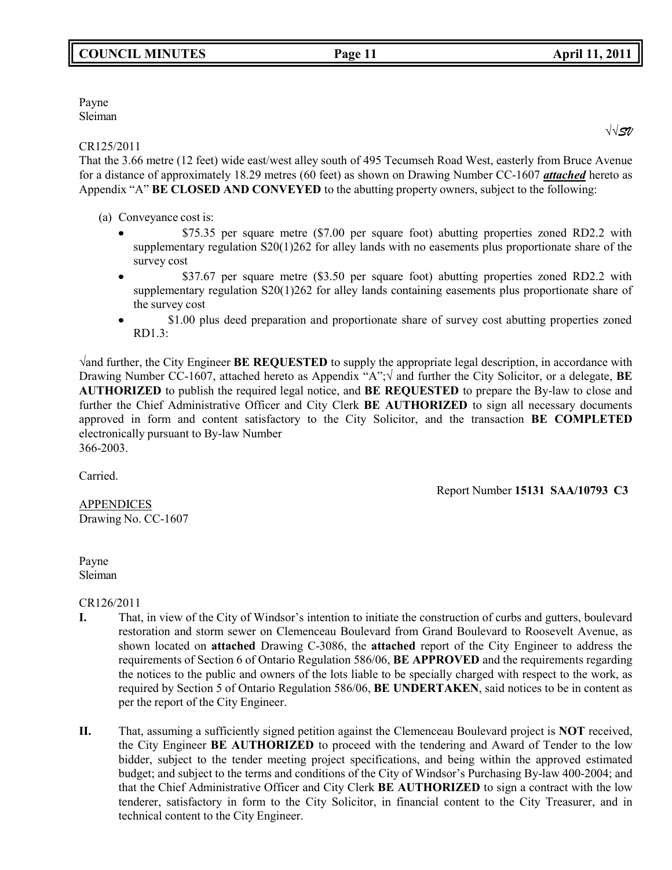# Payne Sleiman

# CR125/2011

That the 3.66 metre (12 feet) wide east/west alley south of 495 Tecumseh Road West, easterly from Bruce Avenue for a distance of approximately 18.29 metres (60 feet) as shown on Drawing Number CC-1607 *attached* hereto as Appendix "A" **BE CLOSED AND CONVEYED** to the abutting property owners, subject to the following:

(a) Conveyance cost is:

- \$75.35 per square metre (\$7.00 per square foot) abutting properties zoned RD2.2 with supplementary regulation S20(1)262 for alley lands with no easements plus proportionate share of the survey cost
- $\bullet$  \$37.67 per square metre (\$3.50 per square foot) abutting properties zoned RD2.2 with supplementary regulation S20(1)262 for alley lands containing easements plus proportionate share of the survey cost
- \$1.00 plus deed preparation and proportionate share of survey cost abutting properties zoned  $\bullet$ RD1.3:

√and further, the City Engineer **BE REQUESTED** to supply the appropriate legal description, in accordance with Drawing Number CC-1607, attached hereto as Appendix "A";√ and further the City Solicitor, or a delegate, **BE AUTHORIZED** to publish the required legal notice, and **BE REQUESTED** to prepare the By-law to close and further the Chief Administrative Officer and City Clerk **BE AUTHORIZED** to sign all necessary documents approved in form and content satisfactory to the City Solicitor, and the transaction **BE COMPLETED** electronically pursuant to By-law Number 366-2003.

Carried.

APPENDICES Drawing No. CC-1607 Report Number **15131 SAA/10793 C3**

Payne Sleiman

CR126/2011

- **I.** That, in view of the City of Windsor's intention to initiate the construction of curbs and gutters, boulevard restoration and storm sewer on Clemenceau Boulevard from Grand Boulevard to Roosevelt Avenue, as shown located on **attached** Drawing C-3086, the **attached** report of the City Engineer to address the requirements of Section 6 of Ontario Regulation 586/06, **BE APPROVED** and the requirements regarding the notices to the public and owners of the lots liable to be specially charged with respect to the work, as required by Section 5 of Ontario Regulation 586/06, **BE UNDERTAKEN**, said notices to be in content as per the report of the City Engineer.
- **II.** That, assuming a sufficiently signed petition against the Clemenceau Boulevard project is **NOT** received, the City Engineer **BE AUTHORIZED** to proceed with the tendering and Award of Tender to the low bidder, subject to the tender meeting project specifications, and being within the approved estimated budget; and subject to the terms and conditions of the City of Windsor's Purchasing By-law 400-2004; and that the Chief Administrative Officer and City Clerk **BE AUTHORIZED** to sign a contract with the low tenderer, satisfactory in form to the City Solicitor, in financial content to the City Treasurer, and in technical content to the City Engineer.

√√*SV*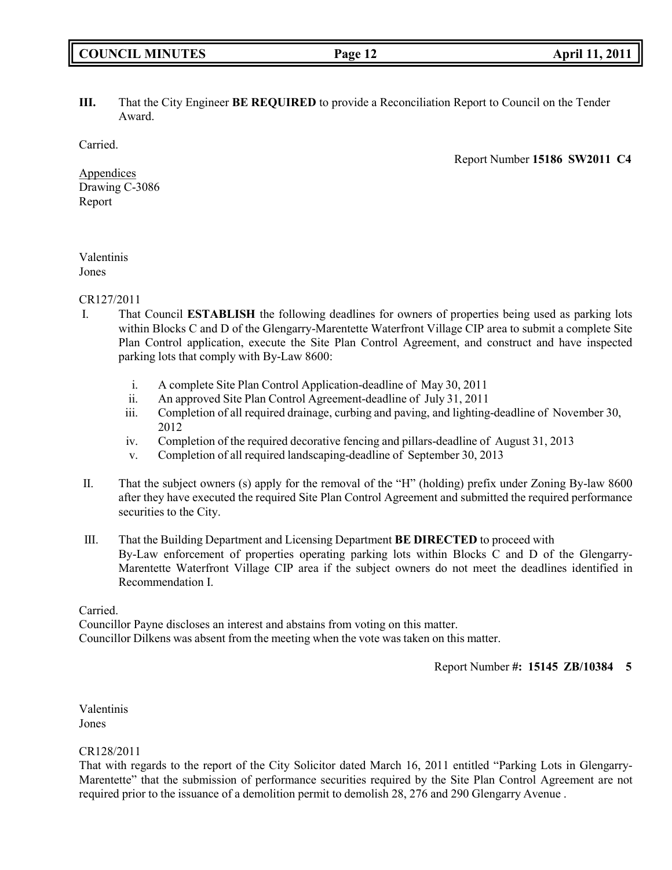# **III.** That the City Engineer **BE REQUIRED** to provide a Reconciliation Report to Council on the Tender Award.

Carried.

Report Number **15186 SW2011 C4**

Appendices Drawing C-3086 Report

# Valentinis Jones

CR127/2011

- I. That Council **ESTABLISH** the following deadlines for owners of properties being used as parking lots within Blocks C and D of the Glengarry-Marentette Waterfront Village CIP area to submit a complete Site Plan Control application, execute the Site Plan Control Agreement, and construct and have inspected parking lots that comply with By-Law 8600:
	- i. A complete Site Plan Control Application-deadline of May 30, 2011
	- ii. An approved Site Plan Control Agreement-deadline of July 31, 2011
	- iii. Completion of all required drainage, curbing and paving, and lighting-deadline of November 30, 2012
	- iv. Completion of the required decorative fencing and pillars-deadline of August 31, 2013
	- v. Completion of all required landscaping-deadline of September 30, 2013
- II. That the subject owners (s) apply for the removal of the "H" (holding) prefix under Zoning By-law 8600 after they have executed the required Site Plan Control Agreement and submitted the required performance securities to the City.
- III. That the Building Department and Licensing Department **BE DIRECTED** to proceed with By-Law enforcement of properties operating parking lots within Blocks C and D of the Glengarry-Marentette Waterfront Village CIP area if the subject owners do not meet the deadlines identified in Recommendation I.

Carried.

Councillor Payne discloses an interest and abstains from voting on this matter. Councillor Dilkens was absent from the meeting when the vote was taken on this matter.

Report Number **#: 15145 ZB/10384 5**

Valentinis Jones

# CR128/2011

That with regards to the report of the City Solicitor dated March 16, 2011 entitled "Parking Lots in Glengarry-Marentette" that the submission of performance securities required by the Site Plan Control Agreement are not required prior to the issuance of a demolition permit to demolish 28, 276 and 290 Glengarry Avenue .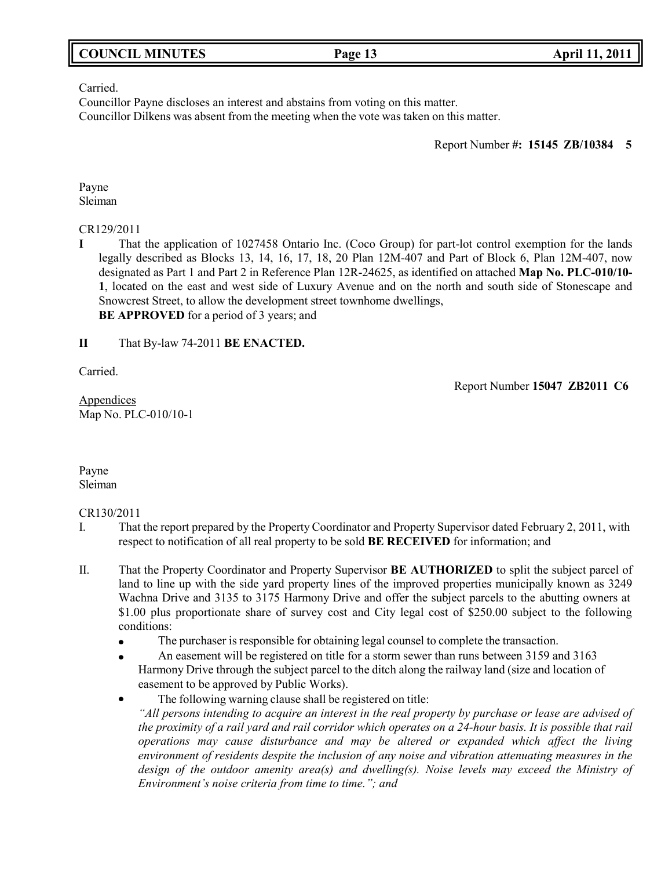| <b>COUNCIL MINUTES</b> |  |  |
|------------------------|--|--|
|------------------------|--|--|

# Carried.

Councillor Payne discloses an interest and abstains from voting on this matter. Councillor Dilkens was absent from the meeting when the vote was taken on this matter.

Report Number **#: 15145 ZB/10384 5**

Payne Sleiman

# CR129/2011

**I** That the application of 1027458 Ontario Inc. (Coco Group) for part-lot control exemption for the lands legally described as Blocks 13, 14, 16, 17, 18, 20 Plan 12M-407 and Part of Block 6, Plan 12M-407, now designated as Part 1 and Part 2 in Reference Plan 12R-24625, as identified on attached **Map No. PLC-010/10- 1**, located on the east and west side of Luxury Avenue and on the north and south side of Stonescape and Snowcrest Street, to allow the development street townhome dwellings, **BE APPROVED** for a period of 3 years; and

**II** That By-law 74-2011 **BE ENACTED.**

Carried.

Report Number **15047 ZB2011 C6**

Appendices Map No. PLC-010/10-1

Payne Sleiman

# CR130/2011

- I. That the report prepared by the Property Coordinator and Property Supervisor dated February 2, 2011, with respect to notification of all real property to be sold **BE RECEIVED** for information; and
- II. That the Property Coordinator and Property Supervisor **BE AUTHORIZED** to split the subject parcel of land to line up with the side yard property lines of the improved properties municipally known as 3249 Wachna Drive and 3135 to 3175 Harmony Drive and offer the subject parcels to the abutting owners at \$1.00 plus proportionate share of survey cost and City legal cost of \$250.00 subject to the following conditions:
	- The purchaser is responsible for obtaining legal counsel to complete the transaction.
	- An easement will be registered on title for a storm sewer than runs between 3159 and 3163  $\bullet$ Harmony Drive through the subject parcel to the ditch along the railway land (size and location of easement to be approved by Public Works).
	- The following warning clause shall be registered on title:  $\bullet$

*"All persons intending to acquire an interest in the real property by purchase or lease are advised of* the proximity of a rail vard and rail corridor which operates on a 24-hour basis. It is possible that rail *operations may cause disturbance and may be altered or expanded which affect the living environment of residents despite the inclusion of any noise and vibration attenuating measures in the design of the outdoor amenity area(s) and dwelling(s). Noise levels may exceed the Ministry of Environment's noise criteria from time to time."; and*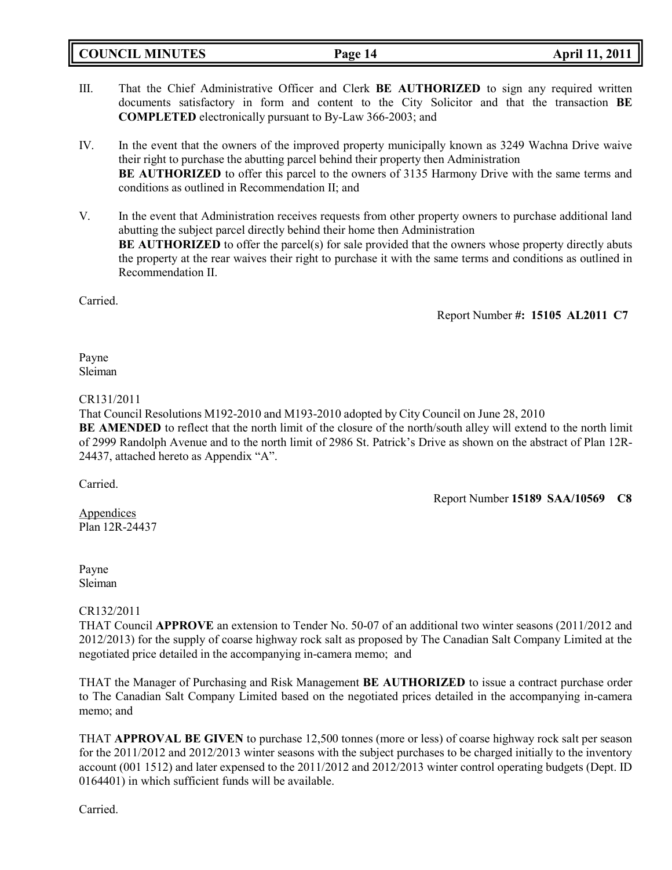|  | <b>COUNCIL MINUTES</b> |
|--|------------------------|
|--|------------------------|

- III. That the Chief Administrative Officer and Clerk **BE AUTHORIZED** to sign any required written documents satisfactory in form and content to the City Solicitor and that the transaction **BE COMPLETED** electronically pursuant to By-Law 366-2003; and
- IV. In the event that the owners of the improved property municipally known as 3249 Wachna Drive waive their right to purchase the abutting parcel behind their property then Administration **BE AUTHORIZED** to offer this parcel to the owners of 3135 Harmony Drive with the same terms and conditions as outlined in Recommendation II; and
- V. In the event that Administration receives requests from other property owners to purchase additional land abutting the subject parcel directly behind their home then Administration **BE AUTHORIZED** to offer the parcel(s) for sale provided that the owners whose property directly abuts the property at the rear waives their right to purchase it with the same terms and conditions as outlined in Recommendation II.

Carried.

Report Number **#: 15105 AL2011 C7**

Payne Sleiman

### CR131/2011

That Council Resolutions M192-2010 and M193-2010 adopted by City Council on June 28, 2010 **BE AMENDED** to reflect that the north limit of the closure of the north/south alley will extend to the north limit of 2999 Randolph Avenue and to the north limit of 2986 St. Patrick's Drive as shown on the abstract of Plan 12R-24437, attached hereto as Appendix "A".

Carried.

Report Number **15189 SAA/10569 C8**

Appendices Plan 12R-24437

Payne Sleiman

# CR132/2011

THAT Council **APPROVE** an extension to Tender No. 50-07 of an additional two winter seasons (2011/2012 and 2012/2013) for the supply of coarse highway rock salt as proposed by The Canadian Salt Company Limited at the negotiated price detailed in the accompanying in-camera memo; and

THAT the Manager of Purchasing and Risk Management **BE AUTHORIZED** to issue a contract purchase order to The Canadian Salt Company Limited based on the negotiated prices detailed in the accompanying in-camera memo; and

THAT **APPROVAL BE GIVEN** to purchase 12,500 tonnes (more or less) of coarse highway rock salt per season for the 2011/2012 and 2012/2013 winter seasons with the subject purchases to be charged initially to the inventory account (001 1512) and later expensed to the 2011/2012 and 2012/2013 winter control operating budgets (Dept. ID 0164401) in which sufficient funds will be available.

Carried.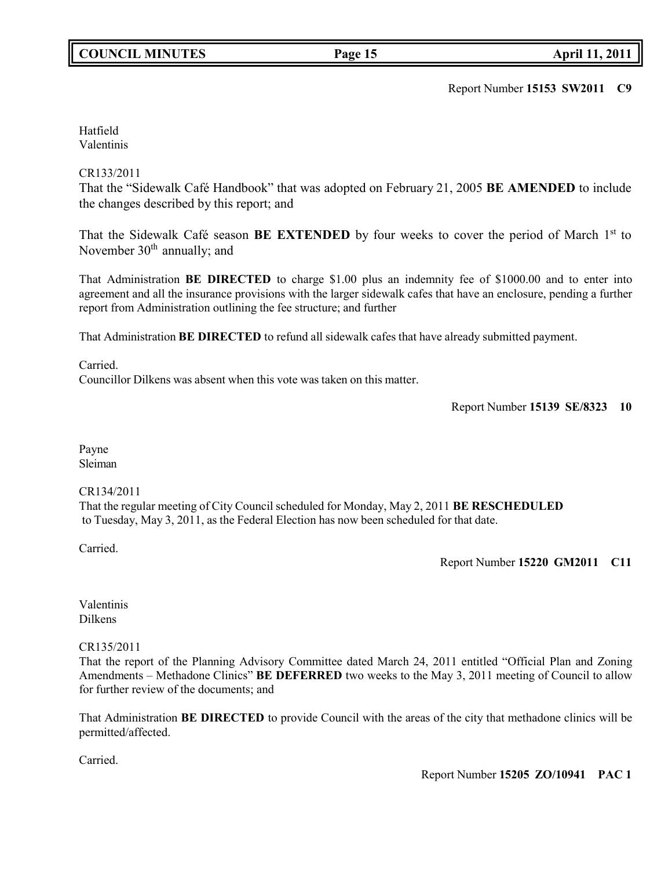Report Number **15153 SW2011 C9**

Hatfield Valentinis

# CR133/2011

That the "Sidewalk Café Handbook" that was adopted on February 21, 2005 **BE AMENDED** to include the changes described by this report; and

That the Sidewalk Café season BE EXTENDED by four weeks to cover the period of March 1<sup>st</sup> to November  $30<sup>th</sup>$  annually; and

That Administration **BE DIRECTED** to charge \$1.00 plus an indemnity fee of \$1000.00 and to enter into agreement and all the insurance provisions with the larger sidewalk cafes that have an enclosure, pending a further report from Administration outlining the fee structure; and further

That Administration **BE DIRECTED** to refund all sidewalk cafes that have already submitted payment.

Carried.

Councillor Dilkens was absent when this vote was taken on this matter.

Report Number **15139 SE/8323 10**

Payne Sleiman

# CR134/2011

That the regular meeting of City Council scheduled for Monday, May 2, 2011 **BE RESCHEDULED** to Tuesday, May 3, 2011, as the Federal Election has now been scheduled for that date.

Carried.

Report Number **15220 GM2011 C11**

Valentinis Dilkens

CR135/2011

That the report of the Planning Advisory Committee dated March 24, 2011 entitled "Official Plan and Zoning Amendments – Methadone Clinics" **BE DEFERRED** two weeks to the May 3, 2011 meeting of Council to allow for further review of the documents; and

That Administration **BE DIRECTED** to provide Council with the areas of the city that methadone clinics will be permitted/affected.

Carried.

Report Number **15205 ZO/10941 PAC 1**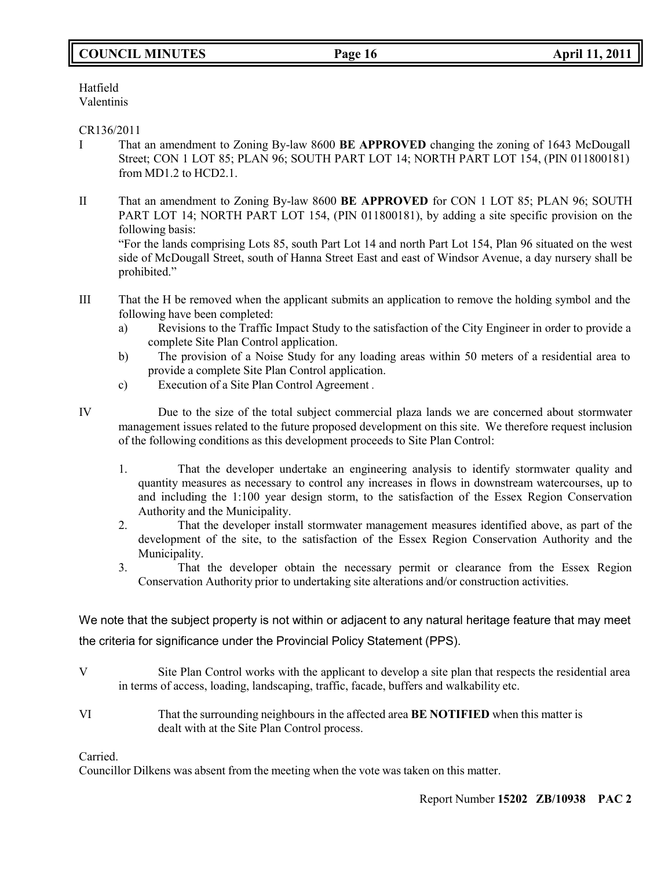# **COUNCIL MINUTES Page 16 April 11, 2011**

Hatfield Valentinis

# CR136/2011

- I That an amendment to Zoning By-law 8600 **BE APPROVED** changing the zoning of 1643 McDougall Street; CON 1 LOT 85; PLAN 96; SOUTH PART LOT 14; NORTH PART LOT 154, (PIN 011800181) from MD1.2 to HCD2.1.
- II That an amendment to Zoning By-law 8600 **BE APPROVED** for CON 1 LOT 85; PLAN 96; SOUTH PART LOT 14; NORTH PART LOT 154, (PIN 011800181), by adding a site specific provision on the following basis:

"For the lands comprising Lots 85, south Part Lot 14 and north Part Lot 154, Plan 96 situated on the west side of McDougall Street, south of Hanna Street East and east of Windsor Avenue, a day nursery shall be prohibited."

- III That the H be removed when the applicant submits an application to remove the holding symbol and the following have been completed:
	- a) Revisions to the Traffic Impact Study to the satisfaction of the City Engineer in order to provide a complete Site Plan Control application.
	- b) The provision of a Noise Study for any loading areas within 50 meters of a residential area to provide a complete Site Plan Control application.
	- c) Execution of a Site Plan Control Agreement *.*
- 

IV Due to the size of the total subject commercial plaza lands we are concerned about stormwater management issues related to the future proposed development on this site. We therefore request inclusion of the following conditions as this development proceeds to Site Plan Control:

- 1. That the developer undertake an engineering analysis to identify stormwater quality and quantity measures as necessary to control any increases in flows in downstream watercourses, up to and including the 1:100 year design storm, to the satisfaction of the Essex Region Conservation Authority and the Municipality.
- 2. That the developer install stormwater management measures identified above, as part of the development of the site, to the satisfaction of the Essex Region Conservation Authority and the Municipality.
- 3. That the developer obtain the necessary permit or clearance from the Essex Region Conservation Authority prior to undertaking site alterations and/or construction activities.

We note that the subject property is not within or adjacent to any natural heritage feature that may meet the criteria for significance under the Provincial Policy Statement (PPS).

- V Site Plan Control works with the applicant to develop a site plan that respects the residential area in terms of access, loading, landscaping, traffic, facade, buffers and walkability etc.
- VI That the surrounding neighbours in the affected area **BE NOTIFIED** when this matter is dealt with at the Site Plan Control process.

Carried.

Councillor Dilkens was absent from the meeting when the vote was taken on this matter.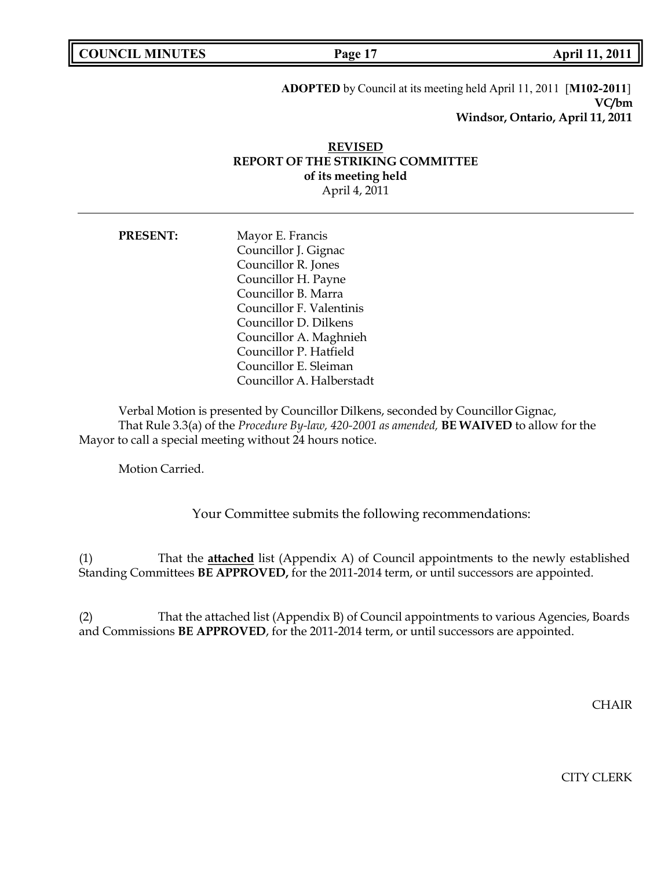**COUNCIL MINUTES Page 17 April 11, 2011**

# **ADOPTED** by Council at its meeting held April 11, 2011 [**M102-2011**] **VC/bm Windsor, Ontario, April 11, 2011**

# **REVISED REPORT OF THE STRIKING COMMITTEE of its meeting held** April 4, 2011

| <b>PRESENT:</b> | Mayor E. Francis          |
|-----------------|---------------------------|
|                 | Councillor J. Gignac      |
|                 | Councillor R. Jones       |
|                 | Councillor H. Payne       |
|                 | Councillor B. Marra       |
|                 | Councillor F. Valentinis  |
|                 | Councillor D. Dilkens     |
|                 | Councillor A. Maghnieh    |
|                 | Councillor P. Hatfield    |
|                 | Councillor E. Sleiman     |
|                 | Councillor A. Halberstadt |

Verbal Motion is presented by Councillor Dilkens, seconded by Councillor Gignac, That Rule 3.3(a) of the *Procedure By-law, 420-2001 as amended,* **BE WAIVED** to allow for the Mayor to call a special meeting without 24 hours notice.

Motion Carried.

Your Committee submits the following recommendations:

(1) That the **attached** list (Appendix A) of Council appointments to the newly established Standing Committees **BE APPROVED,** for the 2011-2014 term, or until successors are appointed.

(2) That the attached list (Appendix B) of Council appointments to various Agencies, Boards and Commissions **BE APPROVED**, for the 2011-2014 term, or until successors are appointed.

**CHAIR** 

CITY CLERK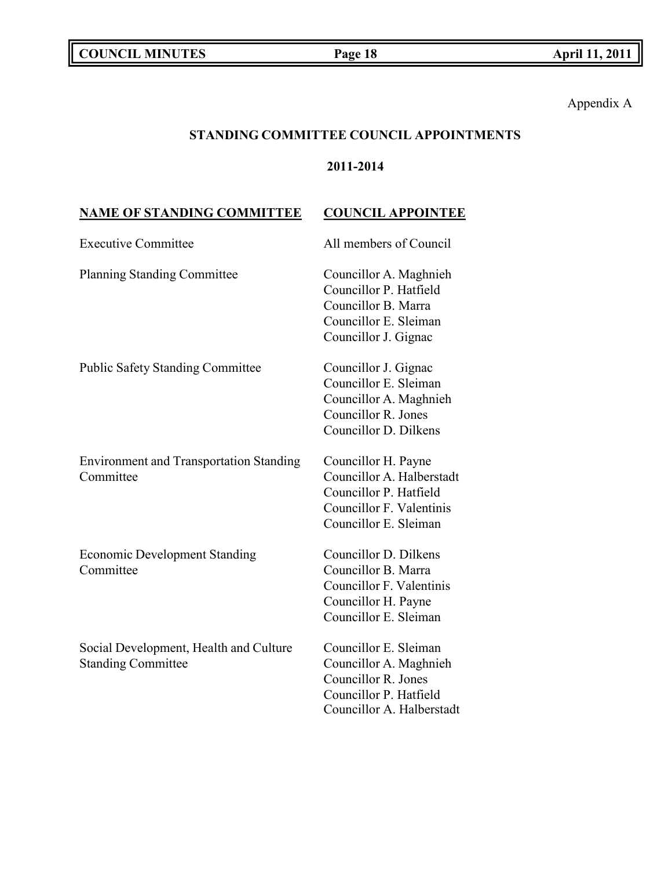Appendix A

# **STANDING COMMITTEE COUNCIL APPOINTMENTS**

# **2011-2014**

# **NAME OF STANDING COMMITTEE COUNCIL APPOINTEE**

| <b>Executive Committee</b>                                          | All members of Council                                                                                                          |
|---------------------------------------------------------------------|---------------------------------------------------------------------------------------------------------------------------------|
| <b>Planning Standing Committee</b>                                  | Councillor A. Maghnieh<br>Councillor P. Hatfield<br>Councillor B. Marra<br>Councillor E. Sleiman<br>Councillor J. Gignac        |
| <b>Public Safety Standing Committee</b>                             | Councillor J. Gignac<br>Councillor E. Sleiman<br>Councillor A. Maghnieh<br>Councillor R. Jones<br>Councillor D. Dilkens         |
| <b>Environment and Transportation Standing</b><br>Committee         | Councillor H. Payne<br>Councillor A. Halberstadt<br>Councillor P. Hatfield<br>Councillor F. Valentinis<br>Councillor E. Sleiman |
| <b>Economic Development Standing</b><br>Committee                   | Councillor D. Dilkens<br>Councillor B. Marra<br>Councillor F. Valentinis<br>Councillor H. Payne<br>Councillor E. Sleiman        |
| Social Development, Health and Culture<br><b>Standing Committee</b> | Councillor E. Sleiman<br>Councillor A. Maghnieh<br>Councillor R. Jones<br>Councillor P. Hatfield<br>Councillor A. Halberstadt   |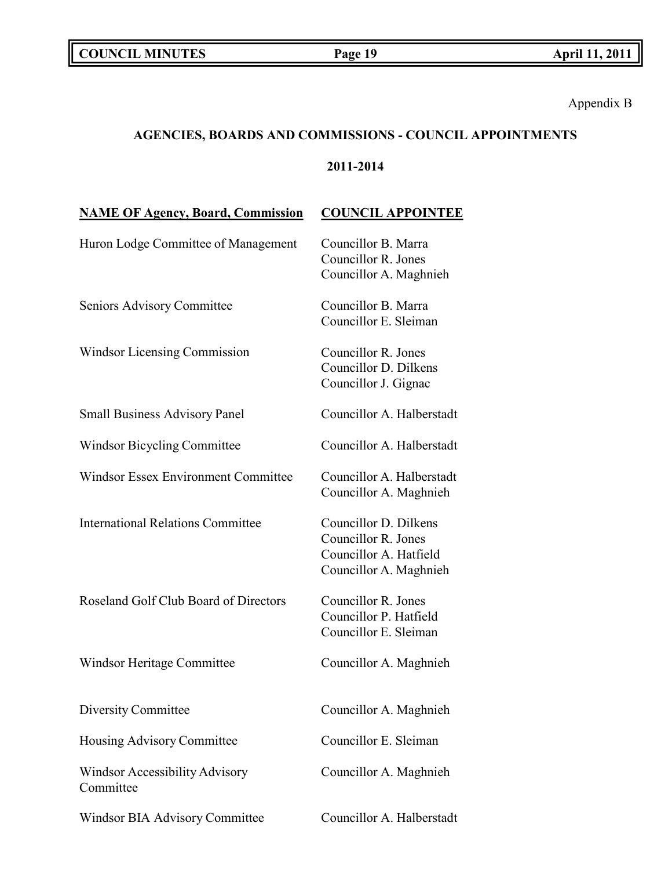Appendix B

# **AGENCIES, BOARDS AND COMMISSIONS - COUNCIL APPOINTMENTS**

# **2011-2014**

| <b>NAME OF Agency, Board, Commission</b>    | <b>COUNCIL APPOINTEE</b>                                                                         |
|---------------------------------------------|--------------------------------------------------------------------------------------------------|
| Huron Lodge Committee of Management         | Councillor B. Marra<br>Councillor R. Jones<br>Councillor A. Maghnieh                             |
| Seniors Advisory Committee                  | Councillor B. Marra<br>Councillor E. Sleiman                                                     |
| <b>Windsor Licensing Commission</b>         | Councillor R. Jones<br>Councillor D. Dilkens<br>Councillor J. Gignac                             |
| <b>Small Business Advisory Panel</b>        | Councillor A. Halberstadt                                                                        |
| Windsor Bicycling Committee                 | Councillor A. Halberstadt                                                                        |
| <b>Windsor Essex Environment Committee</b>  | Councillor A. Halberstadt<br>Councillor A. Maghnieh                                              |
| <b>International Relations Committee</b>    | Councillor D. Dilkens<br>Councillor R. Jones<br>Councillor A. Hatfield<br>Councillor A. Maghnieh |
| Roseland Golf Club Board of Directors       | Councillor R. Jones<br>Councillor P. Hatfield<br>Councillor E. Sleiman                           |
| Windsor Heritage Committee                  | Councillor A. Maghnieh                                                                           |
| Diversity Committee                         | Councillor A. Maghnieh                                                                           |
| Housing Advisory Committee                  | Councillor E. Sleiman                                                                            |
| Windsor Accessibility Advisory<br>Committee | Councillor A. Maghnieh                                                                           |
| Windsor BIA Advisory Committee              | Councillor A. Halberstadt                                                                        |